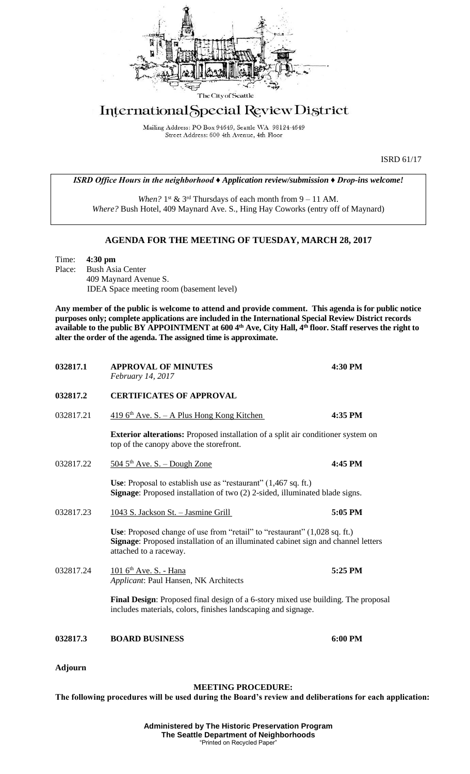

## International Special Review District

Mailing Address: PO Box 94649, Seattle WA 98124-4649 Street Address: 600 4th Avenue, 4th Floor

ISRD 61/17

*ISRD Office Hours in the neighborhood ♦ Application review/submission ♦ Drop-ins welcome!*

When?  $1^{st}$  &  $3^{rd}$  Thursdays of each month from  $9 - 11$  AM. *Where?* Bush Hotel, 409 Maynard Ave. S., Hing Hay Coworks (entry off of Maynard)

## **AGENDA FOR THE MEETING OF TUESDAY, MARCH 28, 2017**

Time: **4:30 pm** Place: Bush Asia Center 409 Maynard Avenue S. IDEA Space meeting room (basement level)

**Any member of the public is welcome to attend and provide comment. This agenda is for public notice purposes only; complete applications are included in the International Special Review District records available to the public BY APPOINTMENT at 600 4th Ave, City Hall, 4th floor. Staff reserves the right to alter the order of the agenda. The assigned time is approximate.** 

| 032817.1       | <b>APPROVAL OF MINUTES</b><br>February 14, 2017                                                                                                                                          | 4:30 PM |
|----------------|------------------------------------------------------------------------------------------------------------------------------------------------------------------------------------------|---------|
| 032817.2       | <b>CERTIFICATES OF APPROVAL</b>                                                                                                                                                          |         |
| 032817.21      | $4196^{\text{th}}$ Ave. S. – A Plus Hong Kong Kitchen                                                                                                                                    | 4:35 PM |
|                | <b>Exterior alterations:</b> Proposed installation of a split air conditioner system on<br>top of the canopy above the storefront.                                                       |         |
| 032817.22      | $504.5$ <sup>th</sup> Ave. S. - Dough Zone                                                                                                                                               | 4:45 PM |
|                | Use: Proposal to establish use as "restaurant" $(1,467 \text{ sq. ft.})$<br>Signage: Proposed installation of two (2) 2-sided, illuminated blade signs.                                  |         |
| 032817.23      | 1043 S. Jackson St. - Jasmine Grill                                                                                                                                                      | 5:05 PM |
|                | Use: Proposed change of use from "retail" to "restaurant" (1,028 sq. ft.)<br>Signage: Proposed installation of an illuminated cabinet sign and channel letters<br>attached to a raceway. |         |
| 032817.24      | 101 6 <sup>th</sup> Ave. S. - Hana<br>Applicant: Paul Hansen, NK Architects                                                                                                              | 5:25 PM |
|                | <b>Final Design:</b> Proposed final design of a 6-story mixed use building. The proposal<br>includes materials, colors, finishes landscaping and signage.                                |         |
| 032817.3       | <b>BOARD BUSINESS</b>                                                                                                                                                                    | 6:00 PM |
| <b>Adjourn</b> |                                                                                                                                                                                          |         |

## **MEETING PROCEDURE:**

**The following procedures will be used during the Board's review and deliberations for each application:**